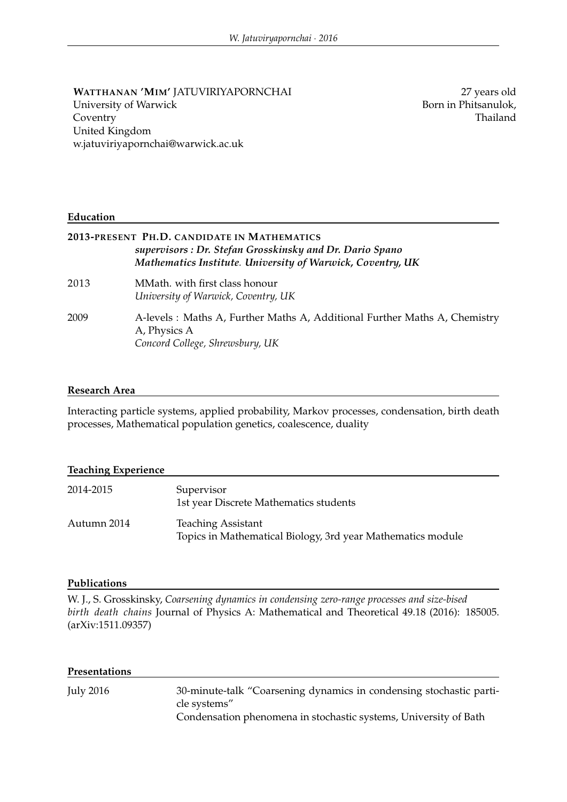### **WATTHANAN 'MIM'** JATUVIRIYAPORNCHAI University of Warwick Coventry United Kingdom w.jatuviriyapornchai@warwick.ac.uk

27 years old Born in Phitsanulok, Thailand

### **Education**

## **2013-PRESENT PH.D. CANDIDATE IN MATHEMATICS** *supervisors : Dr. Stefan Grosskinsky and Dr. Dario Spano Mathematics Institute. University of Warwick, Coventry, UK*

- 2013 MMath. with first class honour *University of Warwick, Coventry, UK*
- 2009 A-levels : Maths A, Further Maths A, Additional Further Maths A, Chemistry A, Physics A *Concord College, Shrewsbury, UK*

### **Research Area**

Interacting particle systems, applied probability, Markov processes, condensation, birth death processes, Mathematical population genetics, coalescence, duality

#### **Teaching Experience**

| 2014-2015   | Supervisor<br>1st year Discrete Mathematics students                                     |
|-------------|------------------------------------------------------------------------------------------|
| Autumn 2014 | <b>Teaching Assistant</b><br>Topics in Mathematical Biology, 3rd year Mathematics module |

#### **Publications**

W. J., S. Grosskinsky, *Coarsening dynamics in condensing zero-range processes and size-bised birth death chains* Journal of Physics A: Mathematical and Theoretical 49.18 (2016): 185005. (arXiv:1511.09357)

| Presentations |                                                                                                                                                         |
|---------------|---------------------------------------------------------------------------------------------------------------------------------------------------------|
| July 2016     | 30-minute-talk "Coarsening dynamics in condensing stochastic parti-<br>cle systems"<br>Condensation phenomena in stochastic systems, University of Bath |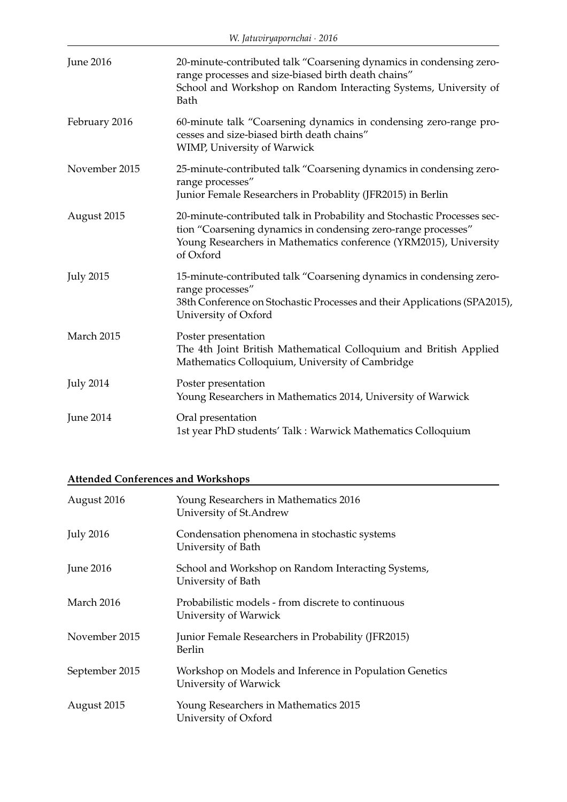| <b>June 2016</b> | 20-minute-contributed talk "Coarsening dynamics in condensing zero-<br>range processes and size-biased birth death chains"<br>School and Workshop on Random Interacting Systems, University of<br>Bath                     |
|------------------|----------------------------------------------------------------------------------------------------------------------------------------------------------------------------------------------------------------------------|
| February 2016    | 60-minute talk "Coarsening dynamics in condensing zero-range pro-<br>cesses and size-biased birth death chains"<br><b>WIMP, University of Warwick</b>                                                                      |
| November 2015    | 25-minute-contributed talk "Coarsening dynamics in condensing zero-<br>range processes"<br>Junior Female Researchers in Probablity (JFR2015) in Berlin                                                                     |
| August 2015      | 20-minute-contributed talk in Probability and Stochastic Processes sec-<br>tion "Coarsening dynamics in condensing zero-range processes"<br>Young Researchers in Mathematics conference (YRM2015), University<br>of Oxford |
| <b>July 2015</b> | 15-minute-contributed talk "Coarsening dynamics in condensing zero-<br>range processes"<br>38th Conference on Stochastic Processes and their Applications (SPA2015),<br>University of Oxford                               |
| March 2015       | Poster presentation<br>The 4th Joint British Mathematical Colloquium and British Applied<br>Mathematics Colloquium, University of Cambridge                                                                                |
| <b>July 2014</b> | Poster presentation<br>Young Researchers in Mathematics 2014, University of Warwick                                                                                                                                        |
| <b>June 2014</b> | Oral presentation<br>1st year PhD students' Talk : Warwick Mathematics Colloquium                                                                                                                                          |

# **Attended Conferences and Workshops**

| August 2016      | Young Researchers in Mathematics 2016<br>University of St. Andrew                |
|------------------|----------------------------------------------------------------------------------|
| <b>July 2016</b> | Condensation phenomena in stochastic systems<br>University of Bath               |
| <b>June 2016</b> | School and Workshop on Random Interacting Systems,<br>University of Bath         |
| March 2016       | Probabilistic models - from discrete to continuous<br>University of Warwick      |
| November 2015    | Junior Female Researchers in Probability (JFR2015)<br>Berlin                     |
| September 2015   | Workshop on Models and Inference in Population Genetics<br>University of Warwick |
| August 2015      | Young Researchers in Mathematics 2015<br>University of Oxford                    |